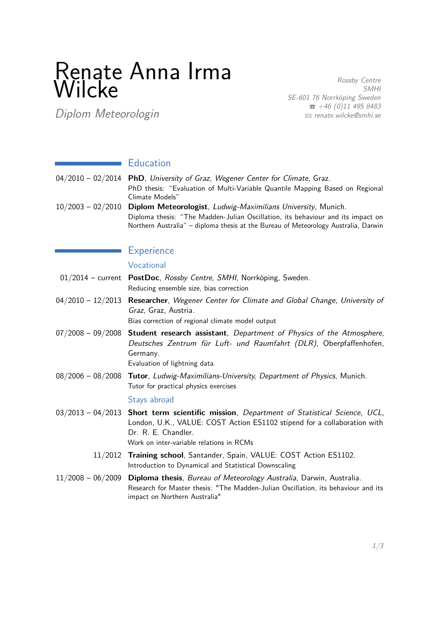# Renate Anna Irma Wilcke

Rossby Centre SMHI SE-601 76 Norrköping Sweden  $\hat{B}$  +46 (0)11 495 8483 B [renate.wilcke@smhi.se](mailto:renate.wilcke@smhi.se)

Diplom Meteorologin

## **Education**

| $04/2010 - 02/2014$ PhD, University of Graz, Wegener Center for Climate, Graz. |  |  |
|--------------------------------------------------------------------------------|--|--|
| PhD thesis: "Evaluation of Multi-Variable Quantile Mapping Based on Regional   |  |  |
| Climate Models"                                                                |  |  |
| 10/2003 - 02/2010 Diplom Meteorologist, Ludwig-Maximilians University, Munich. |  |  |

Diploma thesis: "The Madden-Julian Oscillation, its behaviour and its impact on Northern Australia" – diploma thesis at the Bureau of Meteorology Australia, Darwin

## **Experience**

#### Vocational

- 01/2014 current **PostDoc**, Rossby Centre, SMHI, Norrköping, Sweden. Reducing ensemble size, bias correction
- 04/2010 12/2013 **Researcher**, Wegener Center for Climate and Global Change, University of Graz, Graz, Austria.

Bias correction of regional climate model output

07/2008 – 09/2008 **Student research assistant**, Department of Physics of the Atmosphere, Deutsches Zentrum für Luft- und Raumfahrt (DLR), Oberpfaffenhofen, Germany.

Evaluation of lightning data.

08/2006 – 08/2008 **Tutor**, Ludwig-Maximilians-University, Department of Physics, Munich. Tutor for practical physics exercises

#### Stays abroad

- 03/2013 04/2013 **Short term scientific mission**, Department of Statistical Science, UCL, London, U.K., VALUE: COST Action ES1102 stipend for a collaboration with Dr. R. E. Chandler. Work on inter-variable relations in RCMs
	- 11/2012 **Training school**, Santander, Spain, VALUE: COST Action ES1102. Introduction to Dynamical and Statistical Downscaling
- 11/2008 06/2009 **Diploma thesis**, Bureau of Meteorology Australia, Darwin, Australia. Research for Master thesis: "The Madden-Julian Oscillation, its behaviour and its impact on Northern Australia"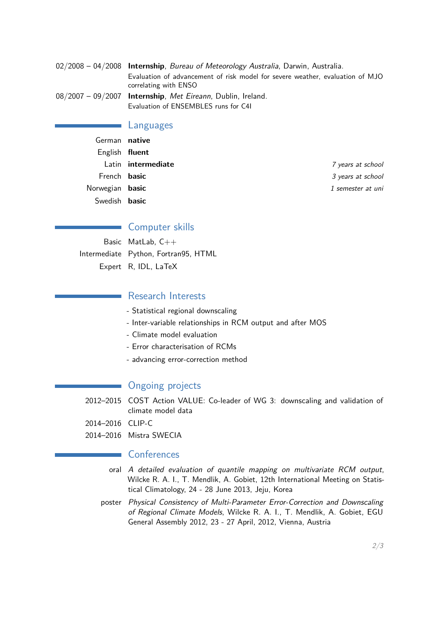| $02/2008 - 04/2008$ Internship, Bureau of Meteorology Australia, Darwin, Australia.                    |  |  |
|--------------------------------------------------------------------------------------------------------|--|--|
| Evaluation of advancement of risk model for severe weather, evaluation of MJO<br>correlating with ENSO |  |  |
| $08/2007 - 09/2007$ Internship, Met Eireann, Dublin, Ireland.                                          |  |  |
| Evaluation of ENSEMBLES runs for C41                                                                   |  |  |

#### Languages

| 7 years at school                                                                                                              |
|--------------------------------------------------------------------------------------------------------------------------------|
| 3 years at school                                                                                                              |
| 1 semester at uni                                                                                                              |
|                                                                                                                                |
| German native<br>English fluent<br>Latin <b>intermediate</b><br>French <b>basic</b><br>Norwegian basic<br>Swedish <b>basic</b> |

## Computer skills

Basic MatLab, C++ Intermediate Python, Fortran95, HTML Expert R, IDL, LaTeX

### **Research Interests**

- Statistical regional downscaling
- Inter-variable relationships in RCM output and after MOS
- Climate model evaluation
- Error characterisation of RCMs
- advancing error-correction method

## Ongoing projects

2012–2015 COST Action VALUE: Co-leader of WG 3: downscaling and validation of climate model data

2014–2016 CLIP-C

2014–2016 Mistra SWECIA

### Conferences

- oral A detailed evaluation of quantile mapping on multivariate RCM output, Wilcke R. A. I., T. Mendlik, A. Gobiet, 12th International Meeting on Statistical Climatology, 24 - 28 June 2013, Jeju, Korea
- poster Physical Consistency of Multi-Parameter Error-Correction and Downscaling of Regional Climate Models, Wilcke R. A. I., T. Mendlik, A. Gobiet, EGU General Assembly 2012, 23 - 27 April, 2012, Vienna, Austria